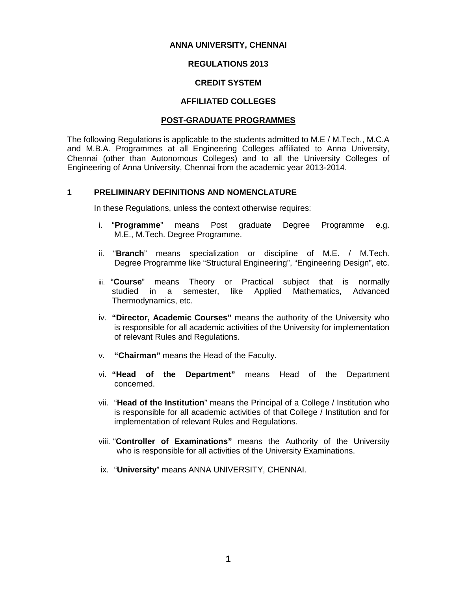### **ANNA UNIVERSITY, CHENNAI**

### **REGULATIONS 2013**

### **CREDIT SYSTEM**

### **AFFILIATED COLLEGES**

### **POST-GRADUATE PROGRAMMES**

The following Regulations is applicable to the students admitted to M.E / M.Tech., M.C.A and M.B.A. Programmes at all Engineering Colleges affiliated to Anna University, Chennai (other than Autonomous Colleges) and to all the University Colleges of Engineering of Anna University, Chennai from the academic year 2013-2014.

### **1 PRELIMINARY DEFINITIONS AND NOMENCLATURE**

In these Regulations, unless the context otherwise requires:

- i. "**Programme**" means Post graduate Degree Programme e.g. M.E., M.Tech. Degree Programme.
- ii. "**Branch**" means specialization or discipline of M.E. / M.Tech. Degree Programme like "Structural Engineering", "Engineering Design", etc.
- iii. "**Course**" means Theory or Practical subject that is normally studied in a semester, like Applied Mathematics, Advanced Thermodynamics, etc.
- iv. **"Director, Academic Courses"** means the authority of the University who is responsible for all academic activities of the University for implementation of relevant Rules and Regulations.
- v. **"Chairman"** means the Head of the Faculty.
- vi. **"Head of the Department"** means Head of the Department concerned.
- vii. "**Head of the Institution**" means the Principal of a College / Institution who is responsible for all academic activities of that College / Institution and for implementation of relevant Rules and Regulations.
- viii. "**Controller of Examinations"** means the Authority of the University who is responsible for all activities of the University Examinations.
- ix. "**University**" means ANNA UNIVERSITY, CHENNAI.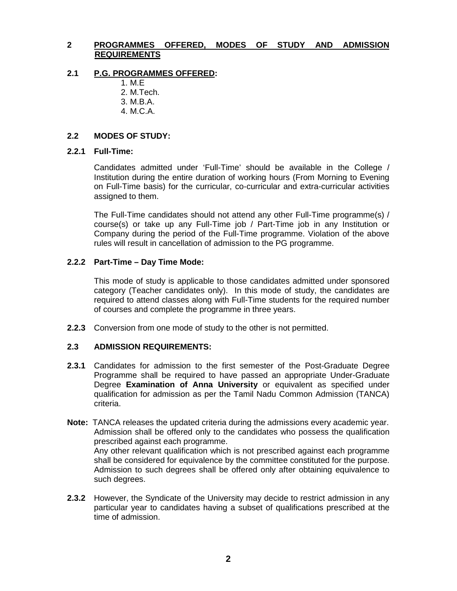## **2 PROGRAMMES OFFERED, MODES OF STUDY AND ADMISSION REQUIREMENTS**

### **2.1 P.G. PROGRAMMES OFFERED:**

- 1. M.E
- 2. M.Tech.
- 3. M.B.A. 4. M.C.A.

## **2.2 MODES OF STUDY:**

### **2.2.1 Full-Time:**

Candidates admitted under 'Full-Time' should be available in the College / Institution during the entire duration of working hours (From Morning to Evening on Full-Time basis) for the curricular, co-curricular and extra-curricular activities assigned to them.

The Full-Time candidates should not attend any other Full-Time programme(s) / course(s) or take up any Full-Time job / Part-Time job in any Institution or Company during the period of the Full-Time programme. Violation of the above rules will result in cancellation of admission to the PG programme.

### **2.2.2 Part-Time – Day Time Mode:**

This mode of study is applicable to those candidates admitted under sponsored category (Teacher candidates only). In this mode of study, the candidates are required to attend classes along with Full-Time students for the required number of courses and complete the programme in three years.

**2.2.3** Conversion from one mode of study to the other is not permitted.

## **2.3 ADMISSION REQUIREMENTS:**

- **2.3.1** Candidates for admission to the first semester of the Post-Graduate Degree Programme shall be required to have passed an appropriate Under-Graduate Degree **Examination of Anna University** or equivalent as specified under qualification for admission as per the Tamil Nadu Common Admission (TANCA) criteria.
- **Note:** TANCA releases the updated criteria during the admissions every academic year. Admission shall be offered only to the candidates who possess the qualification prescribed against each programme. Any other relevant qualification which is not prescribed against each programme shall be considered for equivalence by the committee constituted for the purpose. Admission to such degrees shall be offered only after obtaining equivalence to such degrees.
- **2.3.2** However, the Syndicate of the University may decide to restrict admission in any particular year to candidates having a subset of qualifications prescribed at the time of admission.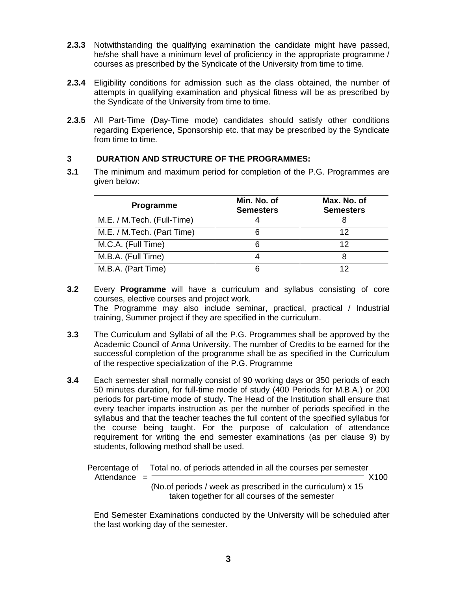- **2.3.3** Notwithstanding the qualifying examination the candidate might have passed, he/she shall have a minimum level of proficiency in the appropriate programme / courses as prescribed by the Syndicate of the University from time to time.
- **2.3.4** Eligibility conditions for admission such as the class obtained, the number of attempts in qualifying examination and physical fitness will be as prescribed by the Syndicate of the University from time to time.
- **2.3.5** All Part-Time (Day-Time mode) candidates should satisfy other conditions regarding Experience, Sponsorship etc. that may be prescribed by the Syndicate from time to time.

## **3 DURATION AND STRUCTURE OF THE PROGRAMMES:**

**3.1** The minimum and maximum period for completion of the P.G. Programmes are given below:

| <b>Programme</b>           | Min. No. of<br><b>Semesters</b> | Max. No. of<br><b>Semesters</b> |
|----------------------------|---------------------------------|---------------------------------|
| M.E. / M.Tech. (Full-Time) |                                 |                                 |
| M.E. / M.Tech. (Part Time) |                                 | 12                              |
| M.C.A. (Full Time)         |                                 | 12                              |
| M.B.A. (Full Time)         |                                 |                                 |
| M.B.A. (Part Time)         |                                 | 12                              |

- **3.2** Every **Programme** will have a curriculum and syllabus consisting of core courses, elective courses and project work. The Programme may also include seminar, practical, practical / Industrial training, Summer project if they are specified in the curriculum.
- **3.3** The Curriculum and Syllabi of all the P.G. Programmes shall be approved by the Academic Council of Anna University. The number of Credits to be earned for the successful completion of the programme shall be as specified in the Curriculum of the respective specialization of the P.G. Programme
- **3.4** Each semester shall normally consist of 90 working days or 350 periods of each 50 minutes duration, for full-time mode of study (400 Periods for M.B.A.) or 200 periods for part-time mode of study. The Head of the Institution shall ensure that every teacher imparts instruction as per the number of periods specified in the syllabus and that the teacher teaches the full content of the specified syllabus for the course being taught. For the purpose of calculation of attendance requirement for writing the end semester examinations (as per clause 9) by students, following method shall be used.

Percentage of Total no. of periods attended in all the courses per semester Attendance = X100 (No.of periods / week as prescribed in the curriculum) x 15 taken together for all courses of the semester

End Semester Examinations conducted by the University will be scheduled after the last working day of the semester.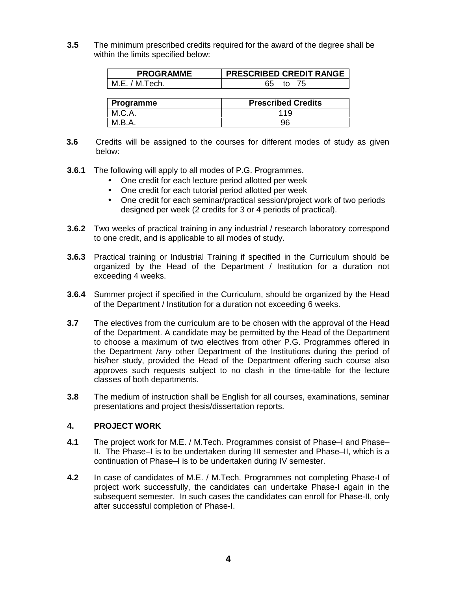**3.5** The minimum prescribed credits required for the award of the degree shall be within the limits specified below:

| <b>PROGRAMME</b> | <b>PRESCRIBED CREDIT RANGE</b> |
|------------------|--------------------------------|
| └ M.E. / M.Tech. |                                |

| ∣ Programme | <b>Prescribed Credits</b> |
|-------------|---------------------------|
|             | 119                       |
| M.B.A.      | 96                        |

- **3.6** Credits will be assigned to the courses for different modes of study as given below:
- **3.6.1** The following will apply to all modes of P.G. Programmes.
	- One credit for each lecture period allotted per week
	- One credit for each tutorial period allotted per week
	- One credit for each seminar/practical session/project work of two periods designed per week (2 credits for 3 or 4 periods of practical).
- **3.6.2** Two weeks of practical training in any industrial / research laboratory correspond to one credit, and is applicable to all modes of study.
- **3.6.3** Practical training or Industrial Training if specified in the Curriculum should be organized by the Head of the Department / Institution for a duration not exceeding 4 weeks.
- **3.6.4** Summer project if specified in the Curriculum, should be organized by the Head of the Department / Institution for a duration not exceeding 6 weeks.
- **3.7** The electives from the curriculum are to be chosen with the approval of the Head of the Department. A candidate may be permitted by the Head of the Department to choose a maximum of two electives from other P.G. Programmes offered in the Department /any other Department of the Institutions during the period of his/her study, provided the Head of the Department offering such course also approves such requests subject to no clash in the time-table for the lecture classes of both departments.
- **3.8** The medium of instruction shall be English for all courses, examinations, seminar presentations and project thesis/dissertation reports.

## **4. PROJECT WORK**

- **4.1** The project work for M.E. / M.Tech. Programmes consist of Phase–I and Phase– II. The Phase–I is to be undertaken during III semester and Phase–II, which is a continuation of Phase–I is to be undertaken during IV semester.
- **4.2** In case of candidates of M.E. / M.Tech. Programmes not completing Phase-I of project work successfully, the candidates can undertake Phase-I again in the subsequent semester. In such cases the candidates can enroll for Phase-II, only after successful completion of Phase-I.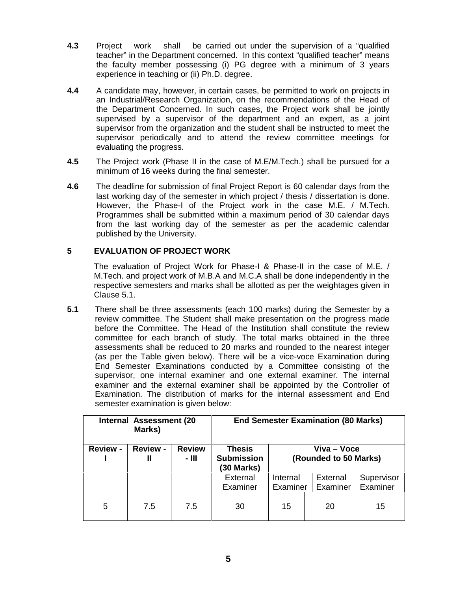- **4.3** Project work shall be carried out under the supervision of a "qualified teacher" in the Department concerned. In this context "qualified teacher" means the faculty member possessing (i) PG degree with a minimum of 3 years experience in teaching or (ii) Ph.D. degree.
- **4.4** A candidate may, however, in certain cases, be permitted to work on projects in an Industrial/Research Organization, on the recommendations of the Head of the Department Concerned. In such cases, the Project work shall be jointly supervised by a supervisor of the department and an expert, as a joint supervisor from the organization and the student shall be instructed to meet the supervisor periodically and to attend the review committee meetings for evaluating the progress.
- **4.5** The Project work (Phase II in the case of M.E/M.Tech.) shall be pursued for a minimum of 16 weeks during the final semester.
- **4.6** The deadline for submission of final Project Report is 60 calendar days from the last working day of the semester in which project / thesis / dissertation is done. However, the Phase-I of the Project work in the case M.E. / M.Tech. Programmes shall be submitted within a maximum period of 30 calendar days from the last working day of the semester as per the academic calendar published by the University.

## **5 EVALUATION OF PROJECT WORK**

The evaluation of Project Work for Phase-I & Phase-II in the case of M.E. / M.Tech. and project work of M.B.A and M.C.A shall be done independently in the respective semesters and marks shall be allotted as per the weightages given in Clause 5.1.

**5.1** There shall be three assessments (each 100 marks) during the Semester by a review committee. The Student shall make presentation on the progress made before the Committee. The Head of the Institution shall constitute the review committee for each branch of study. The total marks obtained in the three assessments shall be reduced to 20 marks and rounded to the nearest integer (as per the Table given below). There will be a vice-voce Examination during End Semester Examinations conducted by a Committee consisting of the supervisor, one internal examiner and one external examiner. The internal examiner and the external examiner shall be appointed by the Controller of Examination. The distribution of marks for the internal assessment and End semester examination is given below:

| Internal Assessment (20<br>Marks) |                                          |                          | <b>End Semester Examination (80 Marks)</b>       |                                      |                      |                        |
|-----------------------------------|------------------------------------------|--------------------------|--------------------------------------------------|--------------------------------------|----------------------|------------------------|
| <b>Review -</b>                   | <b>Review -</b><br>$\mathbf{\mathbf{I}}$ | <b>Review</b><br>$-$ III | <b>Thesis</b><br><b>Submission</b><br>(30 Marks) | Viva – Voce<br>(Rounded to 50 Marks) |                      |                        |
|                                   |                                          |                          | External<br>Examiner                             | Internal<br>Examiner                 | External<br>Examiner | Supervisor<br>Examiner |
| 5                                 | 7.5                                      | 7.5                      | 30                                               | 15                                   | 20                   | 15                     |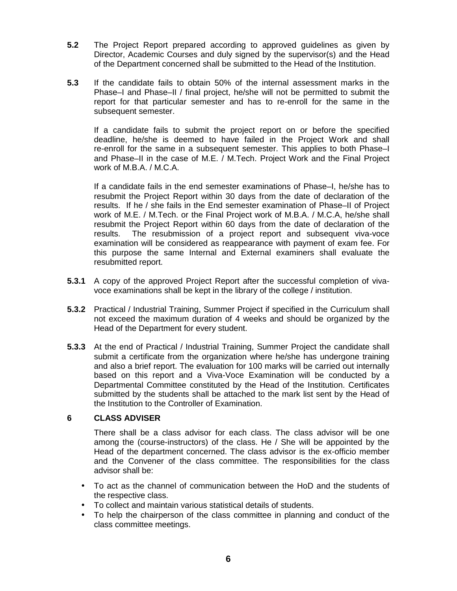- **5.2** The Project Report prepared according to approved guidelines as given by Director, Academic Courses and duly signed by the supervisor(s) and the Head of the Department concerned shall be submitted to the Head of the Institution.
- **5.3** If the candidate fails to obtain 50% of the internal assessment marks in the Phase–I and Phase–II / final project, he/she will not be permitted to submit the report for that particular semester and has to re-enroll for the same in the subsequent semester.

If a candidate fails to submit the project report on or before the specified deadline, he/she is deemed to have failed in the Project Work and shall re-enroll for the same in a subsequent semester. This applies to both Phase–I and Phase–II in the case of M.E. / M.Tech. Project Work and the Final Project work of M.B.A. / M.C.A.

If a candidate fails in the end semester examinations of Phase–I, he/she has to resubmit the Project Report within 30 days from the date of declaration of the results. If he / she fails in the End semester examination of Phase–II of Project work of M.E. / M.Tech. or the Final Project work of M.B.A. / M.C.A, he/she shall resubmit the Project Report within 60 days from the date of declaration of the results. The resubmission of a project report and subsequent viva-voce examination will be considered as reappearance with payment of exam fee. For this purpose the same Internal and External examiners shall evaluate the resubmitted report.

- **5.3.1** A copy of the approved Project Report after the successful completion of viva voce examinations shall be kept in the library of the college / institution.
- **5.3.2** Practical / Industrial Training, Summer Project if specified in the Curriculum shall not exceed the maximum duration of 4 weeks and should be organized by the Head of the Department for every student.
- **5.3.3** At the end of Practical / Industrial Training, Summer Project the candidate shall submit a certificate from the organization where he/she has undergone training and also a brief report. The evaluation for 100 marks will be carried out internally based on this report and a Viva-Voce Examination will be conducted by a Departmental Committee constituted by the Head of the Institution. Certificates submitted by the students shall be attached to the mark list sent by the Head of the Institution to the Controller of Examination.

## **6 CLASS ADVISER**

There shall be a class advisor for each class. The class advisor will be one among the (course-instructors) of the class. He / She will be appointed by the Head of the department concerned. The class advisor is the ex-officio member and the Convener of the class committee. The responsibilities for the class advisor shall be:

- To act as the channel of communication between the HoD and the students of the respective class.
- To collect and maintain various statistical details of students.
- To help the chairperson of the class committee in planning and conduct of the class committee meetings.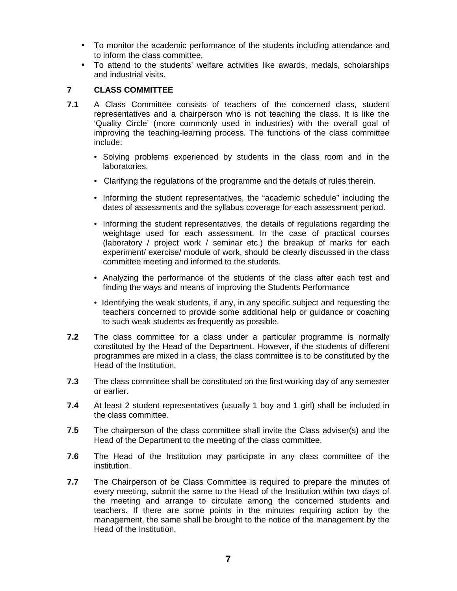- To monitor the academic performance of the students including attendance and to inform the class committee.
- To attend to the students' welfare activities like awards, medals, scholarships and industrial visits.

### **7 CLASS COMMITTEE**

- **7.1** A Class Committee consists of teachers of the concerned class, student representatives and a chairperson who is not teaching the class. It is like the 'Quality Circle' (more commonly used in industries) with the overall goal of improving the teaching-learning process. The functions of the class committee include:
	- Solving problems experienced by students in the class room and in the laboratories.
	- Clarifying the regulations of the programme and the details of rules therein.
	- Informing the student representatives, the "academic schedule" including the dates of assessments and the syllabus coverage for each assessment period.
	- Informing the student representatives, the details of regulations regarding the weightage used for each assessment. In the case of practical courses (laboratory / project work / seminar etc.) the breakup of marks for each experiment/ exercise/ module of work, should be clearly discussed in the class committee meeting and informed to the students.
	- Analyzing the performance of the students of the class after each test and finding the ways and means of improving the Students Performance
	- Identifying the weak students, if any, in any specific subject and requesting the teachers concerned to provide some additional help or guidance or coaching to such weak students as frequently as possible.
- **7.2** The class committee for a class under a particular programme is normally constituted by the Head of the Department. However, if the students of different programmes are mixed in a class, the class committee is to be constituted by the Head of the Institution.
- **7.3** The class committee shall be constituted on the first working day of any semester or earlier.
- **7.4** At least 2 student representatives (usually 1 boy and 1 girl) shall be included in the class committee.
- **7.5** The chairperson of the class committee shall invite the Class adviser(s) and the Head of the Department to the meeting of the class committee.
- **7.6** The Head of the Institution may participate in any class committee of the institution.
- **7.7** The Chairperson of be Class Committee is required to prepare the minutes of every meeting, submit the same to the Head of the Institution within two days of the meeting and arrange to circulate among the concerned students and teachers. If there are some points in the minutes requiring action by the management, the same shall be brought to the notice of the management by the Head of the Institution.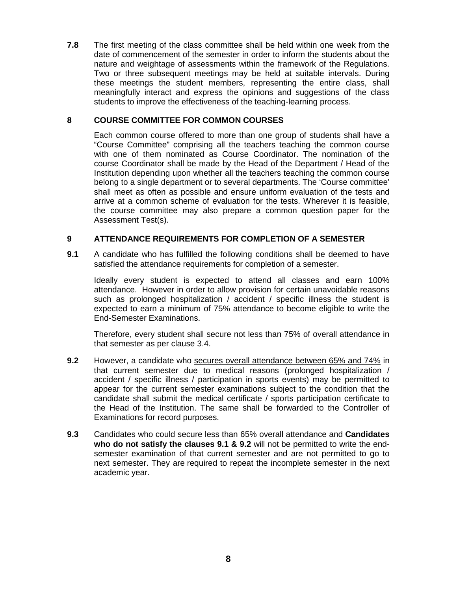**7.8** The first meeting of the class committee shall be held within one week from the date of commencement of the semester in order to inform the students about the nature and weightage of assessments within the framework of the Regulations. Two or three subsequent meetings may be held at suitable intervals. During these meetings the student members, representing the entire class, shall meaningfully interact and express the opinions and suggestions of the class students to improve the effectiveness of the teaching-learning process.

## **8 COURSE COMMITTEE FOR COMMON COURSES**

Each common course offered to more than one group of students shall have a "Course Committee" comprising all the teachers teaching the common course with one of them nominated as Course Coordinator. The nomination of the course Coordinator shall be made by the Head of the Department / Head of the Institution depending upon whether all the teachers teaching the common course belong to a single department or to several departments. The 'Course committee' shall meet as often as possible and ensure uniform evaluation of the tests and arrive at a common scheme of evaluation for the tests. Wherever it is feasible, the course committee may also prepare a common question paper for the Assessment Test(s).

## **9 ATTENDANCE REQUIREMENTS FOR COMPLETION OF A SEMESTER**

**9.1** A candidate who has fulfilled the following conditions shall be deemed to have satisfied the attendance requirements for completion of a semester.

Ideally every student is expected to attend all classes and earn 100% attendance. However in order to allow provision for certain unavoidable reasons such as prolonged hospitalization / accident / specific illness the student is expected to earn a minimum of 75% attendance to become eligible to write the End-Semester Examinations.

Therefore, every student shall secure not less than 75% of overall attendance in that semester as per clause 3.4.

- **9.2** However, a candidate who secures overall attendance between 65% and 74% in that current semester due to medical reasons (prolonged hospitalization / accident / specific illness / participation in sports events) may be permitted to appear for the current semester examinations subject to the condition that the candidate shall submit the medical certificate / sports participation certificate to the Head of the Institution. The same shall be forwarded to the Controller of Examinations for record purposes.
- **9.3** Candidates who could secure less than 65% overall attendance and **Candidates who do not satisfy the clauses 9.1 & 9.2** will not be permitted to write the end semester examination of that current semester and are not permitted to go to next semester. They are required to repeat the incomplete semester in the next academic year.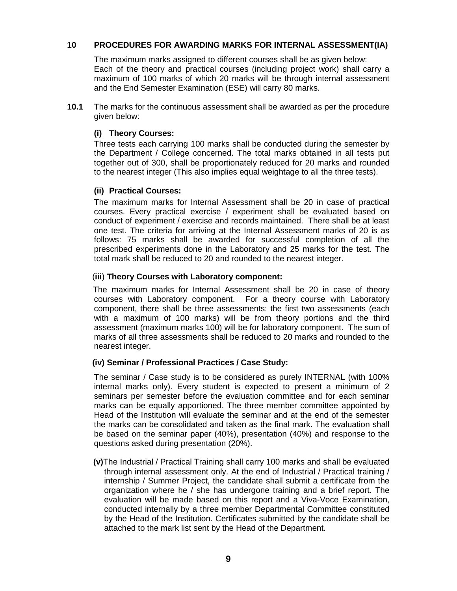## **10 PROCEDURES FOR AWARDING MARKS FOR INTERNAL ASSESSMENT(IA)**

The maximum marks assigned to different courses shall be as given below: Each of the theory and practical courses (including project work) shall carry a maximum of 100 marks of which 20 marks will be through internal assessment and the End Semester Examination (ESE) will carry 80 marks.

**10.1** The marks for the continuous assessment shall be awarded as per the procedure given below:

### **(i) Theory Courses:**

Three tests each carrying 100 marks shall be conducted during the semester by the Department / College concerned. The total marks obtained in all tests put together out of 300, shall be proportionately reduced for 20 marks and rounded to the nearest integer (This also implies equal weightage to all the three tests).

### **(ii) Practical Courses:**

The maximum marks for Internal Assessment shall be 20 in case of practical courses. Every practical exercise / experiment shall be evaluated based on conduct of experiment / exercise and records maintained. There shall be at least one test. The criteria for arriving at the Internal Assessment marks of 20 is as follows: 75 marks shall be awarded for successful completion of all the prescribed experiments done in the Laboratory and 25 marks for the test. The total mark shall be reduced to 20 and rounded to the nearest integer.

### (**iii**) **Theory Courses with Laboratory component:**

The maximum marks for Internal Assessment shall be 20 in case of theory courses with Laboratory component. For a theory course with Laboratory component, there shall be three assessments: the first two assessments (each with a maximum of 100 marks) will be from theory portions and the third assessment (maximum marks 100) will be for laboratory component. The sum of marks of all three assessments shall be reduced to 20 marks and rounded to the nearest integer.

### **(iv) Seminar / Professional Practices / Case Study:**

The seminar / Case study is to be considered as purely INTERNAL (with 100% internal marks only). Every student is expected to present a minimum of 2 seminars per semester before the evaluation committee and for each seminar marks can be equally apportioned. The three member committee appointed by Head of the Institution will evaluate the seminar and at the end of the semester the marks can be consolidated and taken as the final mark. The evaluation shall be based on the seminar paper (40%), presentation (40%) and response to the questions asked during presentation (20%).

**(v)**The Industrial / Practical Training shall carry 100 marks and shall be evaluated through internal assessment only. At the end of Industrial / Practical training / internship / Summer Project, the candidate shall submit a certificate from the organization where he / she has undergone training and a brief report. The evaluation will be made based on this report and a Viva-Voce Examination, conducted internally by a three member Departmental Committee constituted by the Head of the Institution. Certificates submitted by the candidate shall be attached to the mark list sent by the Head of the Department.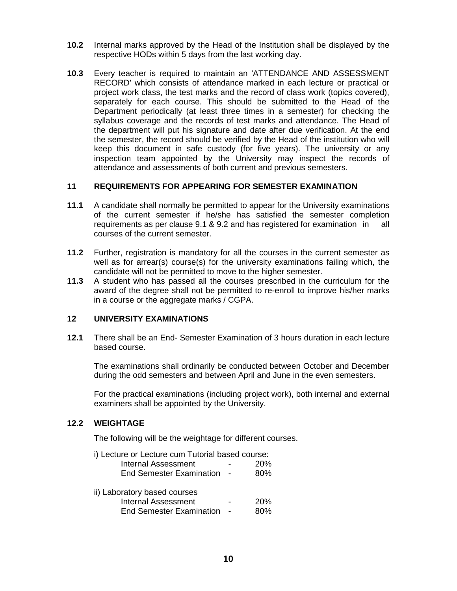- **10.2** Internal marks approved by the Head of the Institution shall be displayed by the respective HODs within 5 days from the last working day.
- **10.3** Every teacher is required to maintain an 'ATTENDANCE AND ASSESSMENT RECORD' which consists of attendance marked in each lecture or practical or project work class, the test marks and the record of class work (topics covered), separately for each course. This should be submitted to the Head of the Department periodically (at least three times in a semester) for checking the syllabus coverage and the records of test marks and attendance. The Head of the department will put his signature and date after due verification. At the end the semester, the record should be verified by the Head of the institution who will keep this document in safe custody (for five years). The university or any inspection team appointed by the University may inspect the records of attendance and assessments of both current and previous semesters.

## **11 REQUIREMENTS FOR APPEARING FOR SEMESTER EXAMINATION**

- **11.1** A candidate shall normally be permitted to appear for the University examinations of the current semester if he/she has satisfied the semester completion requirements as per clause 9.1 & 9.2 and has registered for examination in all courses of the current semester.
- **11.2** Further, registration is mandatory for all the courses in the current semester as well as for arrear(s) course(s) for the university examinations failing which, the candidate will not be permitted to move to the higher semester.
- **11.3** A student who has passed all the courses prescribed in the curriculum for the award of the degree shall not be permitted to re-enroll to improve his/her marks in a course or the aggregate marks / CGPA.

## **12 UNIVERSITY EXAMINATIONS**

**12.1** There shall be an End- Semester Examination of 3 hours duration in each lecture based course.

The examinations shall ordinarily be conducted between October and December during the odd semesters and between April and June in the even semesters.

For the practical examinations (including project work), both internal and external examiners shall be appointed by the University.

## **12.2 WEIGHTAGE**

The following will be the weightage for different courses.

| i) Lecture or Lecture cum Tutorial based course: |  |     |  |
|--------------------------------------------------|--|-----|--|
| <b>Internal Assessment</b><br>20%                |  |     |  |
| End Semester Examination -                       |  | 80% |  |
|                                                  |  |     |  |
| ii) Laboratory based courses                     |  |     |  |
| <b>Internal Assessment</b>                       |  | 20% |  |
| <b>End Semester Examination</b>                  |  | 80% |  |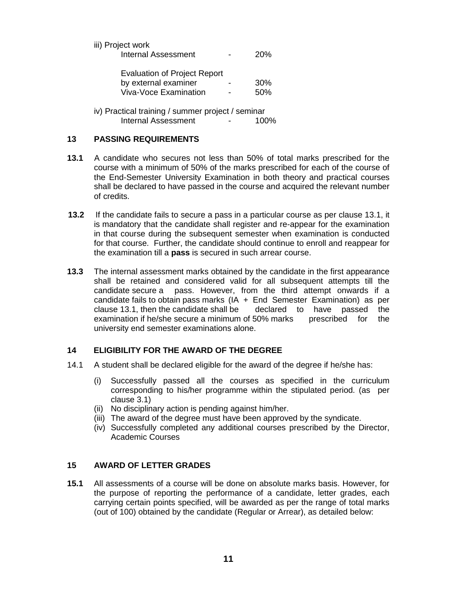| iii) Project work   |                          |            |  |
|---------------------|--------------------------|------------|--|
| Internal Assessment | $\overline{\phantom{a}}$ | <b>20%</b> |  |

| <b>Evaluation of Project Report</b> |   |                 |  |
|-------------------------------------|---|-----------------|--|
| by external examiner                | - | 30 <sup>%</sup> |  |
| Viva-Voce Examination               | - | 50%             |  |

iv) Practical training / summer project / seminar Internal Assessment - 100%

## **13 PASSING REQUIREMENTS**

- **13.1** A candidate who secures not less than 50% of total marks prescribed for the course with a minimum of 50% of the marks prescribed for each of the course of the End-Semester University Examination in both theory and practical courses shall be declared to have passed in the course and acquired the relevant number of credits.
- **13.2** If the candidate fails to secure a pass in a particular course as per clause 13.1, it is mandatory that the candidate shall register and re-appear for the examination in that course during the subsequent semester when examination is conducted for that course. Further, the candidate should continue to enroll and reappear for the examination till a **pass** is secured in such arrear course.
- **13.3** The internal assessment marks obtained by the candidate in the first appearance shall be retained and considered valid for all subsequent attempts till the candidate secure a pass. However, from the third attempt onwards if a candidate fails to obtain pass marks  $(IA + End$  Semester Examination) as per clause 13.1, then the candidate shall be declared to have passed the examination if he/she secure a minimum of 50% marks prescribed for the university end semester examinations alone.

## **14 ELIGIBILITY FOR THE AWARD OF THE DEGREE**

- 14.1 A student shall be declared eligible for the award of the degree if he/she has:
	- (i) Successfully passed all the courses as specified in the curriculum corresponding to his/her programme within the stipulated period. (as per clause 3.1)
	- (ii) No disciplinary action is pending against him/her.
	- (iii) The award of the degree must have been approved by the syndicate.
	- (iv) Successfully completed any additional courses prescribed by the Director, Academic Courses

## **15 AWARD OF LETTER GRADES**

**15.1** All assessments of a course will be done on absolute marks basis. However, for the purpose of reporting the performance of a candidate, letter grades, each carrying certain points specified, will be awarded as per the range of total marks (out of 100) obtained by the candidate (Regular or Arrear), as detailed below: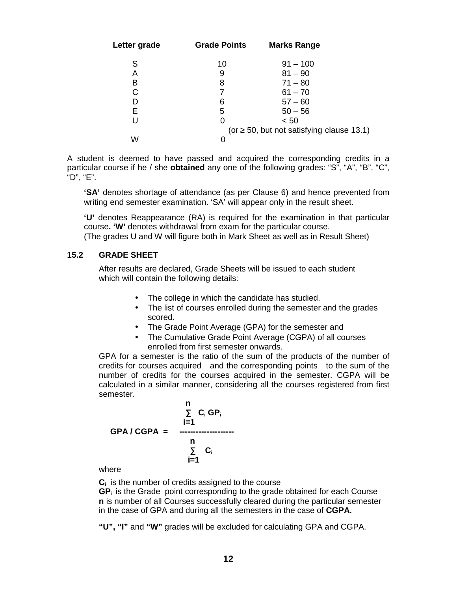| Letter grade | <b>Grade Points</b> | <b>Marks Range</b>                  |  |
|--------------|---------------------|-------------------------------------|--|
| S            | 10                  | $91 - 100$                          |  |
| Α            | 9                   | $81 - 90$                           |  |
| B            | 8                   | $71 - 80$                           |  |
| С            |                     | $61 - 70$                           |  |
| D            | 6                   | $57 - 60$                           |  |
| E            | 5                   | $50 - 56$                           |  |
| U            | 0                   | < 50                                |  |
|              | (or                 | 50, but not satisfying clause 13.1) |  |
| W            | O                   |                                     |  |

A student is deemed to have passed and acquired the corresponding credits in a particular course if he / she **obtained** any one of the following grades: "S", "A", "B", "C", "D", "E".

**'SA'** denotes shortage of attendance (as per Clause 6) and hence prevented from writing end semester examination. 'SA' will appear only in the result sheet.

**'U'** denotes Reappearance (RA) is required for the examination in that particular course**. 'W'** denotes withdrawal from exam for the particular course.

(The grades U and W will figure both in Mark Sheet as well as in Result Sheet)

## **15.2 GRADE SHEET**

After results are declared, Grade Sheets will be issued to each student which will contain the following details:

- The college in which the candidate has studied.
- The list of courses enrolled during the semester and the grades scored.
- The Grade Point Average (GPA) for the semester and
- The Cumulative Grade Point Average (CGPA) of all courses enrolled from first semester onwards.

GPA for a semester is the ratio of the sum of the products of the number of credits for courses acquired and the corresponding points to the sum of the number of credits for the courses acquired in the semester. CGPA will be calculated in a similar manner, considering all the courses registered from first semester.

$$
C_i GP_i
$$
\n
$$
C_i GP_i
$$
\n
$$
I = 1
$$
\n
$$
C_i
$$
\n
$$
I = 1
$$
\n
$$
C_i
$$
\n
$$
I = 1
$$

where

**C<sup>i</sup>** is the number of credits assigned to the course

**GP**<sup>i</sup> is the Grade point corresponding to the grade obtained for each Course **n** is number of all Courses successfully cleared during the particular semester in the case of GPA and during all the semesters in the case of **CGPA.**

**"U", "I"** and **"W"** grades will be excluded for calculating GPA and CGPA.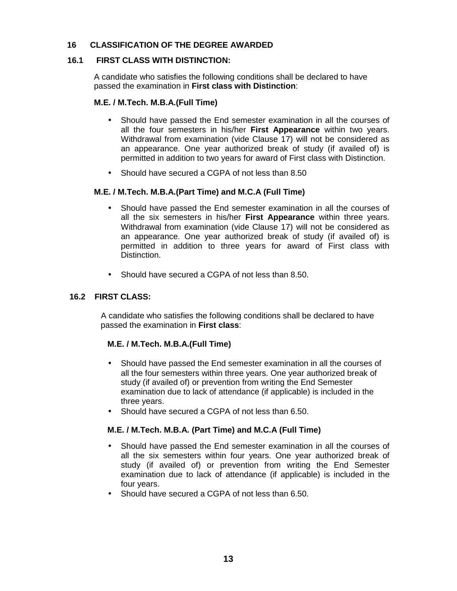## **16 CLASSIFICATION OF THE DEGREE AWARDED**

## **16.1 FIRST CLASS WITH DISTINCTION:**

A candidate who satisfies the following conditions shall be declared to have passed the examination in **First class with Distinction**:

### **M.E. / M.Tech. M.B.A.(Full Time)**

- Should have passed the End semester examination in all the courses of all the four semesters in his/her **First Appearance** within two years. Withdrawal from examination (vide Clause 17) will not be considered as an appearance. One year authorized break of study (if availed of) is permitted in addition to two years for award of First class with Distinction.
- Should have secured a CGPA of not less than 8.50

### **M.E. / M.Tech. M.B.A.(Part Time) and M.C.A (Full Time)**

- Should have passed the End semester examination in all the courses of all the six semesters in his/her **First Appearance** within three years. Withdrawal from examination (vide Clause 17) will not be considered as an appearance. One year authorized break of study (if availed of) is permitted in addition to three years for award of First class with Distinction.
- Should have secured a CGPA of not less than 8.50.

## **16.2 FIRST CLASS:**

A candidate who satisfies the following conditions shall be declared to have passed the examination in **First class**:

### **M.E. / M.Tech. M.B.A.(Full Time)**

- Should have passed the End semester examination in all the courses of all the four semesters within three years. One year authorized break of study (if availed of) or prevention from writing the End Semester examination due to lack of attendance (if applicable) is included in the three years.
- Should have secured a CGPA of not less than 6.50.

## **M.E. / M.Tech. M.B.A. (Part Time) and M.C.A (Full Time)**

- Should have passed the End semester examination in all the courses of all the six semesters within four years. One year authorized break of study (if availed of) or prevention from writing the End Semester examination due to lack of attendance (if applicable) is included in the four years.
- Should have secured a CGPA of not less than 6.50.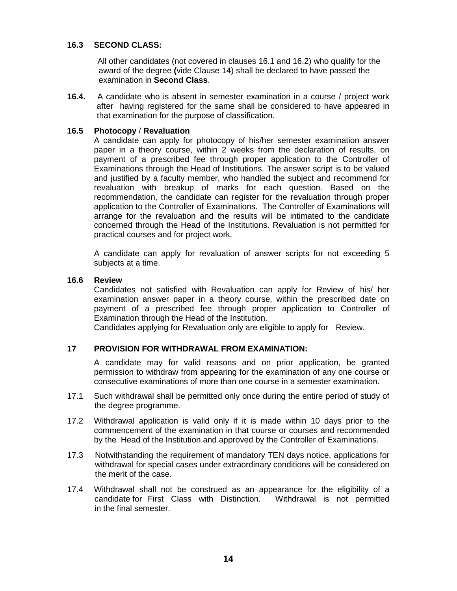### **16.3 SECOND CLASS:**

All other candidates (not covered in clauses 16.1 and 16.2) who qualify for the award of the degree **(**vide Clause 14) shall be declared to have passed the examination in **Second Class**.

**16.4.** A candidate who is absent in semester examination in a course / project work after having registered for the same shall be considered to have appeared in that examination for the purpose of classification.

### **16.5 Photocopy** / **Revaluation**

A candidate can apply for photocopy of his/her semester examination answer paper in a theory course, within 2 weeks from the declaration of results, on payment of a prescribed fee through proper application to the Controller of Examinations through the Head of Institutions. The answer script is to be valued and justified by a faculty member, who handled the subject and recommend for revaluation with breakup of marks for each question. Based on the recommendation, the candidate can register for the revaluation through proper application to the Controller of Examinations. The Controller of Examinations will arrange for the revaluation and the results will be intimated to the candidate concerned through the Head of the Institutions. Revaluation is not permitted for practical courses and for project work.

A candidate can apply for revaluation of answer scripts for not exceeding 5 subjects at a time.

#### **16.6 Review**

Candidates not satisfied with Revaluation can apply for Review of his/ her examination answer paper in a theory course, within the prescribed date on payment of a prescribed fee through proper application to Controller of Examination through the Head of the Institution.

Candidates applying for Revaluation only are eligible to apply for Review.

### **17 PROVISION FOR WITHDRAWAL FROM EXAMINATION:**

A candidate may for valid reasons and on prior application, be granted permission to withdraw from appearing for the examination of any one course or consecutive examinations of more than one course in a semester examination.

- 17.1 Such withdrawal shall be permitted only once during the entire period of study of the degree programme.
- 17.2 Withdrawal application is valid only if it is made within 10 days prior to the commencement of the examination in that course or courses and recommended by the Head of the Institution and approved by the Controller of Examinations.
- 17.3 Notwithstanding the requirement of mandatory TEN days notice, applications for withdrawal for special cases under extraordinary conditions will be considered on the merit of the case.
- 17.4 Withdrawal shall not be construed as an appearance for the eligibility of a candidate for First Class with Distinction. Withdrawal is not permitted in the final semester.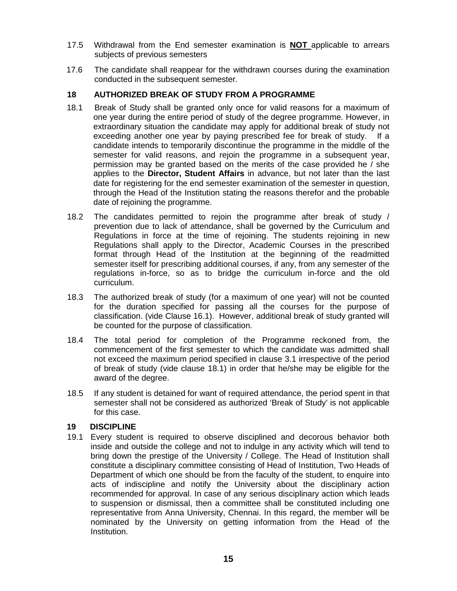- 17.5 Withdrawal from the End semester examination is **NOT** applicable to arrears subjects of previous semesters
- 17.6 The candidate shall reappear for the withdrawn courses during the examination conducted in the subsequent semester.

## **18 AUTHORIZED BREAK OF STUDY FROM A PROGRAMME**

- 18.1 Break of Study shall be granted only once for valid reasons for a maximum of one year during the entire period of study of the degree programme. However, in extraordinary situation the candidate may apply for additional break of study not exceeding another one year by paying prescribed fee for break of study. If a candidate intends to temporarily discontinue the programme in the middle of the semester for valid reasons, and rejoin the programme in a subsequent year, permission may be granted based on the merits of the case provided he / she applies to the **Director, Student Affairs** in advance, but not later than the last date for registering for the end semester examination of the semester in question, through the Head of the Institution stating the reasons therefor and the probable date of rejoining the programme.
- 18.2 The candidates permitted to rejoin the programme after break of study / prevention due to lack of attendance, shall be governed by the Curriculum and Regulations in force at the time of rejoining. The students rejoining in new Regulations shall apply to the Director, Academic Courses in the prescribed format through Head of the Institution at the beginning of the readmitted semester itself for prescribing additional courses, if any, from any semester of the regulations in-force, so as to bridge the curriculum in-force and the old curriculum.
- 18.3 The authorized break of study (for a maximum of one year) will not be counted for the duration specified for passing all the courses for the purpose of classification. (vide Clause 16.1). However, additional break of study granted will be counted for the purpose of classification.
- 18.4 The total period for completion of the Programme reckoned from, the commencement of the first semester to which the candidate was admitted shall not exceed the maximum period specified in clause 3.1 irrespective of the period of break of study (vide clause 18.1) in order that he/she may be eligible for the award of the degree.
- 18.5 If any student is detained for want of required attendance, the period spent in that semester shall not be considered as authorized 'Break of Study' is not applicable for this case.

### **19 DISCIPLINE**

19.1 Every student is required to observe disciplined and decorous behavior both inside and outside the college and not to indulge in any activity which will tend to bring down the prestige of the University / College. The Head of Institution shall constitute a disciplinary committee consisting of Head of Institution, Two Heads of Department of which one should be from the faculty of the student, to enquire into acts of indiscipline and notify the University about the disciplinary action recommended for approval. In case of any serious disciplinary action which leads to suspension or dismissal, then a committee shall be constituted including one representative from Anna University, Chennai. In this regard, the member will be nominated by the University on getting information from the Head of the Institution.